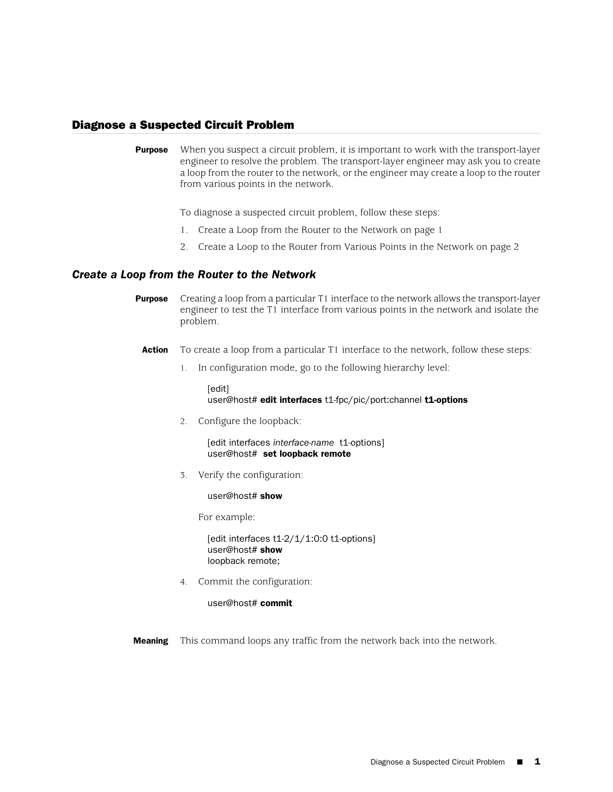## Diagnose a Suspected Circuit Problem

**Purpose** When you suspect a circuit problem, it is important to work with the transport-layer engineer to resolve the problem. The transport-layer engineer may ask you to create a loop from the router to the network, or the engineer may create a loop to the router from various points in the network.

To diagnose a suspected circuit problem, follow these steps:

- 1. [Create a Loop from the Router to the Network on page 1](#page-0-0)
- 2. [Create a Loop to the Router from Various Points in the Network on page 2](#page-1-0)

## <span id="page-0-0"></span>*Create a Loop from the Router to the Network*

- **Purpose** Creating a loop from a particular T1 interface to the network allows the transport-layer engineer to test the T1 interface from various points in the network and isolate the problem.
- **Action** To create a loop from a particular T1 interface to the network, follow these steps:
	- 1. In configuration mode, go to the following hierarchy level:

[edit] user@host# edit interfaces t1-fpc/pic/port:channel t1-options

2. Configure the loopback:

[edit interfaces *interface-name* t1-options] user@host# set loopback remote

3. Verify the configuration:

user@host# show

For example:

[edit interfaces t1-2/1/1:0:0 t1-options] user@host# show loopback remote;

4. Commit the configuration:

user@host# commit

**Meaning** This command loops any traffic from the network back into the network.